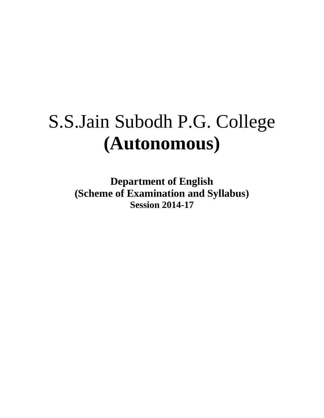# S.S.Jain Subodh P.G. College **(Autonomous)**

**Department of English (Scheme of Examination and Syllabus) Session 2014-17**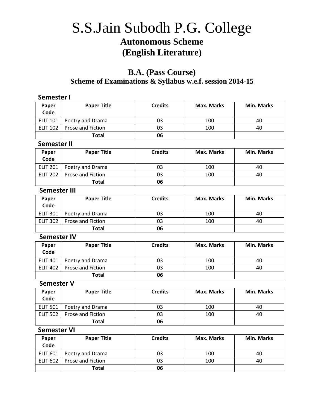# S.S.Jain Subodh P.G. College **Autonomous Scheme (English Literature)**

# **B.A. (Pass Course) Scheme of Examinations & Syllabus w.e.f. session 2014-15**

| Semester I          |                    |                |                   |                   |
|---------------------|--------------------|----------------|-------------------|-------------------|
| Paper               | <b>Paper Title</b> | <b>Credits</b> | <b>Max. Marks</b> | Min. Marks        |
| Code                |                    |                |                   |                   |
| <b>ELIT 101</b>     | Poetry and Drama   | 03             | 100               | 40                |
| <b>ELIT 102</b>     | Prose and Fiction  | 03             | 100               | 40                |
|                     | <b>Total</b>       | 06             |                   |                   |
| <b>Semester II</b>  |                    |                |                   |                   |
| Paper               | <b>Paper Title</b> | <b>Credits</b> | <b>Max. Marks</b> | Min. Marks        |
| Code                |                    |                |                   |                   |
| <b>ELIT 201</b>     | Poetry and Drama   | 03             | 100               | 40                |
| <b>ELIT 202</b>     | Prose and Fiction  | 03             | 100               | 40                |
|                     | <b>Total</b>       | 06             |                   |                   |
| <b>Semester III</b> |                    |                |                   |                   |
| Paper               | <b>Paper Title</b> | <b>Credits</b> | <b>Max. Marks</b> | Min. Marks        |
| Code                |                    |                |                   |                   |
| <b>ELIT 301</b>     | Poetry and Drama   | 03             | 100               | 40                |
| <b>ELIT 302</b>     | Prose and Fiction  | 03             | 100               | 40                |
|                     | <b>Total</b>       | 06             |                   |                   |
| <b>Semester IV</b>  |                    |                |                   |                   |
| Paper               | <b>Paper Title</b> | <b>Credits</b> | <b>Max. Marks</b> | Min. Marks        |
| Code                |                    |                |                   |                   |
| <b>ELIT 401</b>     | Poetry and Drama   | 03             | 100               | 40                |
| <b>ELIT 402</b>     | Prose and Fiction  | 03             | 100               | 40                |
|                     | <b>Total</b>       | 06             |                   |                   |
| <b>Semester V</b>   |                    |                |                   |                   |
| Paper               | <b>Paper Title</b> | <b>Credits</b> | <b>Max. Marks</b> | <b>Min. Marks</b> |
| Code                |                    |                |                   |                   |
| <b>ELIT 501</b>     | Poetry and Drama   | 03             | 100               | 40                |
| <b>ELIT 502</b>     | Prose and Fiction  | 03             | 100               | 40                |
|                     | <b>Total</b>       | 06             |                   |                   |
| <b>Semester VI</b>  |                    |                |                   |                   |
| Paper               | <b>Paper Title</b> | <b>Credits</b> | <b>Max. Marks</b> | Min. Marks        |
| Code                |                    |                |                   |                   |
| <b>ELIT 601</b>     | Poetry and Drama   | 03             | 100               | 40                |
| <b>ELIT 602</b>     | Prose and Fiction  | 03             | 100               | 40                |
|                     | <b>Total</b>       | 06             |                   |                   |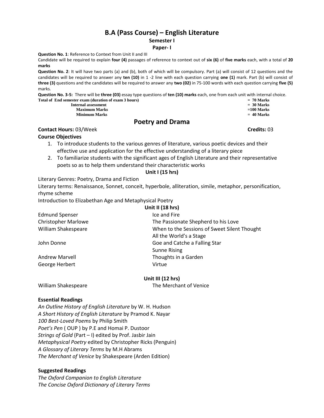#### **Semester I**

**Paper- I**

**Question No. 1**: Reference to Context from Unit II and III

Candidate will be required to explain **four (4)** passages of reference to context out of **six (6)** of **five marks** each, with a total of **20 marks**

**Question No. 2**: It will have two parts (a) and (b), both of which will be compulsory. Part (a) will consist of 12 questions and the candidates will be required to answer any **ten (10)** in 1 -2 line with each question carrying **one (1)** mark. Part (b) will consist of **three (3)** questions and the candidates will be required to answer any **two (02)** in 75-100 words with each question carrying **five (5)** marks.

**Question No. 3-5:** There will be **three (03)** essay type questions of **ten (10) marks** each, one from each unit with internal choice. **Total of End semester exam (duration of exam 3 hours) = 70 Marks**

> **Internal assessment**  $= 30$  Marks **Maximum Marks =100 Marks Minimum Marks = 40 Marks**

# **Poetry and Drama**

#### **Contact Hours:** 03/Week **Credits:** 03

#### **Course Objectives**

- 1. To introduce students to the various genres of literature, various poetic devices and their effective use and application for the effective understanding of a literary piece
- 2. To familiarize students with the significant ages of English Literature and their representative poets so as to help them understand their characteristic works

#### **Unit I (15 hrs)**

Literary Genres: Poetry, Drama and Fiction

Literary terms: Renaissance, Sonnet, conceit, hyperbole, alliteration, simile, metaphor, personification, rhyme scheme

Introduction to Elizabethan Age and Metaphysical Poetry

|                            | Unit II (18 hrs)                             |
|----------------------------|----------------------------------------------|
| <b>Edmund Spenser</b>      | Ice and Fire                                 |
| <b>Christopher Marlowe</b> | The Passionate Shepherd to his Love          |
| William Shakespeare        | When to the Sessions of Sweet Silent Thought |
|                            | All the World's a Stage                      |
| John Donne                 | Goe and Catche a Falling Star                |
|                            | <b>Sunne Rising</b>                          |
| Andrew Marvell             | Thoughts in a Garden                         |
| George Herbert             | Virtue                                       |

#### **Unit III (12 hrs)**

William Shakespeare The Merchant of Venice

#### **Essential Readings**

*An Outline History of English Literature* by W. H. Hudson *A Short History of English Literature* by Pramod K. Nayar *100 Best-Loved Poems* by Philip Smith *Poet's Pen* ( OUP ) by P.E and Homai P. Dustoor *Strings of Gold* (Part – I) edited by Prof. Jasbir Jain *Metaphysical Poetry* edited by Christopher Ricks (Penguin) *A Glossary of Literary Terms* by M.H Abrams *The Merchant of Venice* by Shakespeare (Arden Edition)

#### **Suggested Readings**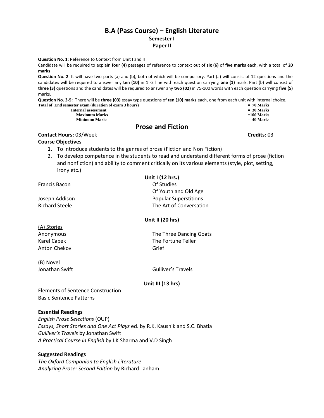# **B.A (Pass Course) – English Literature Semester I Paper II**

**Question No. 1**: Reference to Context from Unit I and II

Candidate will be required to explain **four (4)** passages of reference to context out of **six (6)** of **five marks** each, with a total of **20 marks**

**Question No. 2**: It will have two parts (a) and (b), both of which will be compulsory. Part (a) will consist of 12 questions and the candidates will be required to answer any **ten (10)** in 1 -2 line with each question carrying **one (1)** mark. Part (b) will consist of **three (3)** questions and the candidates will be required to answer any **two (02)** in 75-100 words with each question carrying **five (5)** marks.

**Question No. 3-5:** There will be **three (03)** essay type questions of **ten (10) marks** each, one from each unit with internal choice. **Total of End semester exam (duration of exam 3 hours) = 70 Marks**

 **Internal assessment = 30 Marks** Maximum Marks **and Marks** and Marks **mathematic increases and Marks** and Marks **mathematic increases and Marks** and Marks **mathematic increases** and Marks **mathematic increases** and Marks **mathematic increases** and Marks **Minimum Marks = 40 Marks**

### **Prose and Fiction**

**Contact Hours:** 03/Week **Credits:** 03

#### **Course Objectives**

- **1.** To introduce students to the genres of prose (Fiction and Non Fiction)
- 2. To develop competence in the students to read and understand different forms of prose (fiction and nonfiction) and ability to comment critically on its various elements (style, plot, setting, irony etc.)

|                       | Unit I (12 hrs.)             |
|-----------------------|------------------------------|
| Francis Bacon         | Of Studies                   |
|                       | Of Youth and Old Age         |
| Joseph Addison        | <b>Popular Superstitions</b> |
| <b>Richard Steele</b> | The Art of Conversation      |
|                       | Unit II (20 hrs)             |
| (A) Stories           |                              |

(A) Stories Anonymous The Three Dancing Goats Karel Capek The Fortune Teller Anton Chekov Grief

(B) Novel

Jonathan Swift Gulliver's Travels

**Unit III (13 hrs)**

Elements of Sentence Construction Basic Sentence Patterns

#### **Essential Readings**

*English Prose Selections* (OUP) *Essays, Short Stories and One Act Plays* ed. by R.K. Kaushik and S.C. Bhatia *Gulliver's Travels* by Jonathan Swift *A Practical Course in English* by I.K Sharma and V.D Singh

#### **Suggested Readings**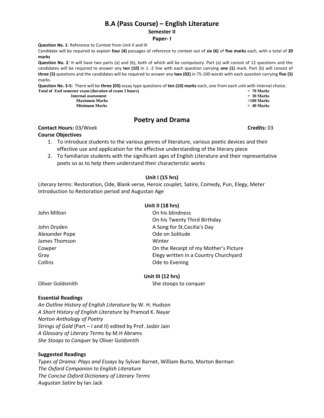# **Semester II**

**Paper- I**

**Question No. 1**: Reference to Context from Unit II and III

Candidate will be required to explain **four (4)** passages of reference to context out of **six (6)** of **five marks** each, with a total of **20 marks**

**Question No. 2**: It will have two parts (a) and (b), both of which will be compulsory. Part (a) will consist of 12 questions and the candidates will be required to answer any **ten (10)** in 1 -2 line with each question carrying **one (1)** mark. Part (b) will consist of **three (3)** questions and the candidates will be required to answer any **two (02)** in 75-100 words with each question carrying **five (5)** marks.

**Question No. 3-5:** There will be **three (03)** essay type questions of **ten (10) marks** each, one from each unit with internal choice. **Total of End semester exam (duration of exam 3 hours) = 70 Marks**

 **Internal assessment = 30 Marks Maximum Marks =100 Marks Minimum Marks = 40 Marks**

# **Poetry and Drama**

**Contact Hours:** 03/Week **Credits:** 03

#### **Course Objectives**

- 1. To introduce students to the various genres of literature, various poetic devices and their effective use and application for the effective understanding of the literary piece
- 2. To familiarize students with the significant ages of English Literature and their representative poets so as to help them understand their characteristic works

#### **Unit I (15 hrs)**

Literary terms: Restoration, Ode, Blank verse, Heroic couplet, Satire, Comedy, Pun, Elegy, Meter Introduction to Restoration period and Augustan Age

|  | Unit II (18 hrs) |
|--|------------------|
|--|------------------|

| John Milton    | On his blindness                      |
|----------------|---------------------------------------|
|                | On his Twenty Third Birthday          |
| John Dryden    | A Song for St. Cecilia's Day          |
| Alexander Pope | Ode on Solitude                       |
| James Thomson  | Winter                                |
| Cowper         | On the Receipt of my Mother's Picture |
| Gray           | Elegy written in a Country Churchyard |
| Collins        | Ode to Evening                        |
|                |                                       |

**Unit III (12 hrs)**

Oliver Goldsmith She stoops to conquer

#### **Essential Readings**

*An Outline History of English Literature* by W. H. Hudson *A Short History of English Literature* by Pramod K. Nayar *Norton Anthology of Poetry Strings of Gold* (Part – I and II) edited by Prof. Jasbir Jain *A Glossary of Literary Terms* by M.H Abrams *She Stoops to Conquer* by Oliver Goldsmith

#### **Suggested Readings**

*Types of Drama: Plays and Essays* by Sylvan Barnet, William Burto, Morton Berman *The Oxford Companion to English Literature The Concise Oxford Dictionary of Literary Terms Augustan Satire* by Ian Jack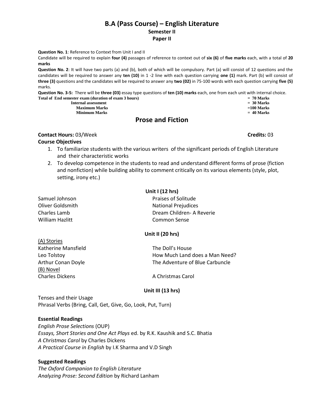#### **B.A (Pass Course) – English Literature Semester II Paper II**

**Question No. 1**: Reference to Context from Unit I and II

Candidate will be required to explain **four (4)** passages of reference to context out of **six (6)** of **five marks** each, with a total of **20 marks**

**Question No. 2**: It will have two parts (a) and (b), both of which will be compulsory. Part (a) will consist of 12 questions and the candidates will be required to answer any **ten (10)** in 1 -2 line with each question carrying **one (1)** mark. Part (b) will consist of **three (3)** questions and the candidates will be required to answer any **two (02)** in 75-100 words with each question carrying **five (5)** marks.

**Question No. 3-5:** There will be **three (03)** essay type questions of **ten (10) marks** each, one from each unit with internal choice. **Total of End semester exam (duration of exam 3 hours) = 70 Marks**

> **Internal assessment = 30 Marks** Maximum Marks **and Marks** and Marks **mathematic increases and Marks** and Marks **mathematic increases and Marks**  $\leq 40$  Marks **Minimum Marks = 40 Marks**

# **Prose and Fiction**

**Contact Hours:** 03/Week **Credits:** 03

**Course Objectives**

- 1. To familiarize students with the various writers of the significant periods of English Literature and their characteristic works
- 2. To develop competence in the students to read and understand different forms of prose (fiction and nonfiction) while building ability to comment critically on its various elements (style, plot, setting, irony etc.)

| Unit I (12 hrs) |  |  |
|-----------------|--|--|
|                 |  |  |

| <b>Praises of Solitude</b> |
|----------------------------|
| <b>National Prejudices</b> |
| Dream Children- A Reverie  |
| Common Sense               |
|                            |

#### **Unit II (20 hrs)**

| Katherine Mansfield    | The Doll's House                |
|------------------------|---------------------------------|
| Leo Tolstoy            | How Much Land does a Man Need?  |
| Arthur Conan Doyle     | The Adventure of Blue Carbuncle |
| (B) Novel              |                                 |
| <b>Charles Dickens</b> | A Christmas Carol               |

#### **Unit III (13 hrs)**

Tenses and their Usage Phrasal Verbs (Bring, Call, Get, Give, Go, Look, Put, Turn)

#### **Essential Readings**

(A) Stories

*English Prose Selections* (OUP) *Essays, Short Stories and One Act Plays* ed. by R.K. Kaushik and S.C. Bhatia *A Christmas Carol* by Charles Dickens *A Practical Course in English* by I.K Sharma and V.D Singh

#### **Suggested Readings**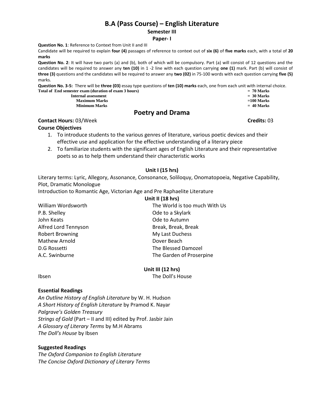#### **B.A (Pass Course) – English Literature Semester III**

# **Paper- I**

**Question No. 1**: Reference to Context from Unit II and III

Candidate will be required to explain **four (4)** passages of reference to context out of **six (6)** of **five marks** each, with a total of **20 marks**

**Question No. 2**: It will have two parts (a) and (b), both of which will be compulsory. Part (a) will consist of 12 questions and the candidates will be required to answer any **ten (10)** in 1 -2 line with each question carrying **one (1)** mark. Part (b) will consist of **three (3)** questions and the candidates will be required to answer any **two (02)** in 75-100 words with each question carrying **five (5)** marks.

**Question No. 3-5:** There will be **three (03)** essay type questions of **ten (10) marks** each, one from each unit with internal choice. **Total of End semester exam (duration of exam 3 hours) = 70 Marks**

> **Internal assessment = 30 Marks Maximum Marks =100 Marks Minimum Marks = 40 Marks**

# **Poetry and Drama**

**Contact Hours:** 03/Week **Credits:** 03

#### **Course Objectives**

- 1. To introduce students to the various genres of literature, various poetic devices and their effective use and application for the effective understanding of a literary piece
- 2. To familiarize students with the significant ages of English Literature and their representative poets so as to help them understand their characteristic works

#### **Unit I (15 hrs)**

Literary terms: Lyric, Allegory, Assonance, Consonance, Soliloquy, Onomatopoeia, Negative Capability, Plot, Dramatic Monologue

Introduction to Romantic Age, Victorian Age and Pre Raphaelite Literature

#### **Unit II (18 hrs)**

| William Wordsworth     | The World is too much With Us |
|------------------------|-------------------------------|
| P.B. Shelley           | Ode to a Skylark              |
| John Keats             | Ode to Autumn                 |
| Alfred Lord Tennyson   | Break, Break, Break           |
| <b>Robert Browning</b> | My Last Duchess               |
| Mathew Arnold          | Dover Beach                   |
| D.G Rossetti           | The Blessed Damozel           |
| A.C. Swinburne         | The Garden of Proserpine      |
|                        |                               |

#### **Unit III (12 hrs)**

**Ibsen** Ibsen **The Doll's House** 

#### **Essential Readings**

*An Outline History of English Literature* by W. H. Hudson *A Short History of English Literature* by Pramod K. Nayar *Palgrave's Golden Treasury Strings of Gold* (Part – II and III) edited by Prof. Jasbir Jain *A Glossary of Literary Terms* by M.H Abrams *The Doll's House* by Ibsen

#### **Suggested Readings**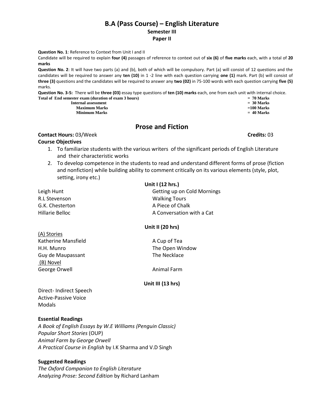#### **B.A (Pass Course) – English Literature Semester III Paper II**

**Question No. 1**: Reference to Context from Unit I and II

Candidate will be required to explain **four (4)** passages of reference to context out of **six (6)** of **five marks** each, with a total of **20 marks**

**Question No. 2**: It will have two parts (a) and (b), both of which will be compulsory. Part (a) will consist of 12 questions and the candidates will be required to answer any **ten (10)** in 1 -2 line with each question carrying **one (1)** mark. Part (b) will consist of **three (3)** questions and the candidates will be required to answer any **two (02)** in 75-100 words with each question carrying **five (5)** marks.

**Question No. 3-5:** There will be **three (03)** essay type questions of **ten (10) marks** each, one from each unit with internal choice. **Total of End semester exam (duration of exam 3 hours) = 70 Marks**

> **Internal assessment**  $= 30$  Marks<br> **Maximum Marks**  $= 100$  Marks Maximum Marks **and Marks** and Marks **mathematic increases and Marks** and Marks **mathematic increases and Marks**  $\leq 40$  Marks **Minimum Marks = 40 Marks**

# **Prose and Fiction**

**Contact Hours:** 03/Week **Credits:** 03

#### **Course Objectives**

- 1. To familiarize students with the various writers of the significant periods of English Literature and their characteristic works
- 2. To develop competence in the students to read and understand different forms of prose (fiction and nonfiction) while building ability to comment critically on its various elements (style, plot, setting, irony etc.)

|                 | Unit I (12 hrs.)            |  |
|-----------------|-----------------------------|--|
| Leigh Hunt      | Getting up on Cold Mornings |  |
| R.L Stevenson   | <b>Walking Tours</b>        |  |
| G.K. Chesterton | A Piece of Chalk            |  |
| Hillarie Belloc | A Conversation with a Cat   |  |
|                 |                             |  |

#### **Unit II (20 hrs)**

| (A) Stories         |                 |
|---------------------|-----------------|
| Katherine Mansfield | A Cup of Tea    |
| H.H. Munro          | The Open Window |
| Guy de Maupassant   | The Necklace    |
| (B) Novel           |                 |
| George Orwell       | Animal Farm     |
|                     |                 |

#### **Unit III (13 hrs)**

Direct- Indirect Speech Active-Passive Voice Modals

#### **Essential Readings**

*A Book of English Essays by W.E Williams (Penguin Classic) Popular Short Stories* (OUP) *Animal Farm by George Orwell A Practical Course in English* by I.K Sharma and V.D Singh

#### **Suggested Readings**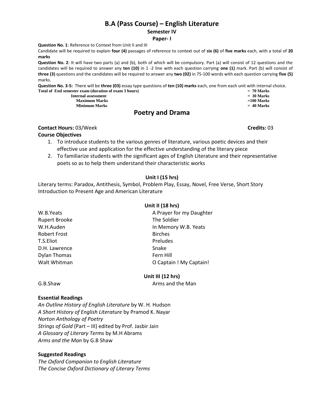#### **B.A (Pass Course) – English Literature Semester IV**

# **Paper- I**

**Question No. 1**: Reference to Context from Unit II and III

Candidate will be required to explain **four (4)** passages of reference to context out of **six (6)** of **five marks** each, with a total of **20 marks**

**Question No. 2**: It will have two parts (a) and (b), both of which will be compulsory. Part (a) will consist of 12 questions and the candidates will be required to answer any **ten (10)** in 1 -2 line with each question carrying **one (1)** mark. Part (b) will consist of **three (3)** questions and the candidates will be required to answer any **two (02)** in 75-100 words with each question carrying **five (5)** marks.

**Question No. 3-5:** There will be **three (03)** essay type questions of **ten (10) marks** each, one from each unit with internal choice. **Total of End semester exam (duration of exam 3 hours) = 70 Marks**

> **Internal assessment = 30 Marks Maximum Marks =100 Marks Minimum Marks = 40 Marks**

# **Poetry and Drama**

**Contact Hours:** 03/Week **Credits:** 03

#### **Course Objectives**

- 1. To introduce students to the various genres of literature, various poetic devices and their effective use and application for the effective understanding of the literary piece
- 2. To familiarize students with the significant ages of English Literature and their representative poets so as to help them understand their characteristic works

#### **Unit I (15 hrs)**

Literary terms: Paradox, Antithesis, Symbol, Problem Play, Essay, Novel, Free Verse, Short Story Introduction to Present Age and American Literature

#### **Unit II (18 hrs)**

| W.B.Yeats            | A Prayer for my Daughter |
|----------------------|--------------------------|
| <b>Rupert Brooke</b> | The Soldier              |
| W.H.Auden            | In Memory W.B. Yeats     |
| Robert Frost         | <b>Birches</b>           |
| T.S.Eliot            | Preludes                 |
| D.H. Lawrence        | Snake                    |
| Dylan Thomas         | Fern Hill                |
| Walt Whitman         | O Captain ! My Captain!  |
|                      |                          |

#### **Unit III (12 hrs)**

G.B.Shaw **Arms** and the Man

#### **Essential Readings**

*An Outline History of English Literature* by W. H. Hudson *A Short History of English Literature* by Pramod K. Nayar *Norton Anthology of Poetry Strings of Gold* (Part – III) edited by Prof. Jasbir Jain *A Glossary of Literary Terms* by M.H Abrams *Arms and the Man* by G.B Shaw

#### **Suggested Readings**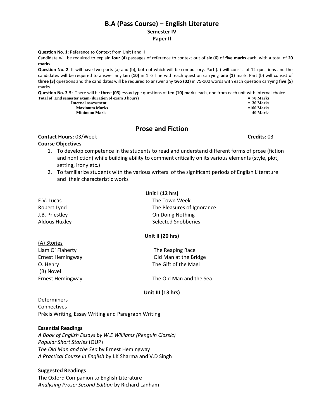#### **B.A (Pass Course) – English Literature Semester IV Paper II**

**Question No. 1**: Reference to Context from Unit I and II

Candidate will be required to explain **four (4)** passages of reference to context out of **six (6)** of **five marks** each, with a total of **20 marks**

**Question No. 2**: It will have two parts (a) and (b), both of which will be compulsory. Part (a) will consist of 12 questions and the candidates will be required to answer any **ten (10)** in 1 -2 line with each question carrying **one (1)** mark. Part (b) will consist of **three (3)** questions and the candidates will be required to answer any **two (02)** in 75-100 words with each question carrying **five (5)** marks.

**Question No. 3-5:** There will be **three (03)** essay type questions of **ten (10) marks** each, one from each unit with internal choice. **Total of End semester exam (duration of exam 3 hours) = 70 Marks**

> **Internal assessment**  $= 30$  Marks<br> **Maximum Marks**  $= 100$  Marks Maximum Marks **and Marks**  $=$  40 Marks **minimum Marks**  $=$  40 Marks **minimum Marks**  $=$  40 Marks **Minimum Marks = 40 Marks**

# **Prose and Fiction**

**Contact Hours:** 03/Week **Credits:** 03

# **Course Objectives**

- 1. To develop competence in the students to read and understand different forms of prose (fiction and nonfiction) while building ability to comment critically on its various elements (style, plot, setting, irony etc.)
- 2. To familiarize students with the various writers of the significant periods of English Literature and their characteristic works

| Unit I (12 hrs) |
|-----------------|
|                 |

| The Town Week              |
|----------------------------|
| The Pleasures of Ignorance |
| On Doing Nothing           |
| Selected Snobberies        |
|                            |

#### **Unit II (20 hrs)**

| Liam O' Flaherty | The Reaping Race        |
|------------------|-------------------------|
| Ernest Hemingway | Old Man at the Bridge   |
| O. Henry         | The Gift of the Magi    |
| (B) Novel        |                         |
| Ernest Hemingway | The Old Man and the Sea |

#### **Unit III (13 hrs)**

**Determiners** Connectives Précis Writing, Essay Writing and Paragraph Writing

#### **Essential Readings**

(A) Stories

*A Book of English Essays by W.E Williams (Penguin Classic) Popular Short Stories* (OUP) *The Old Man and the Sea* by Ernest Hemingway *A Practical Course in English* by I.K Sharma and V.D Singh

#### **Suggested Readings**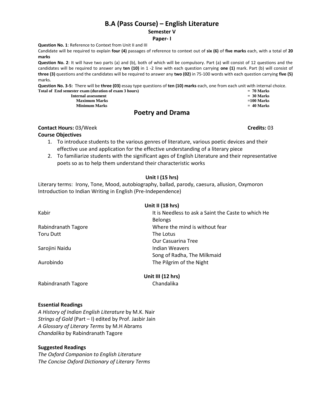# **Semester V**

**Paper- I**

**Question No. 1**: Reference to Context from Unit II and III

Candidate will be required to explain **four (4)** passages of reference to context out of **six (6)** of **five marks** each, with a total of **20 marks**

**Question No. 2**: It will have two parts (a) and (b), both of which will be compulsory. Part (a) will consist of 12 questions and the candidates will be required to answer any **ten (10)** in 1 -2 line with each question carrying **one (1)** mark. Part (b) will consist of **three (3)** questions and the candidates will be required to answer any **two (02)** in 75-100 words with each question carrying **five (5)** marks.

**Question No. 3-5:** There will be **three (03)** essay type questions of **ten (10) marks** each, one from each unit with internal choice. **Total of End semester exam (duration of exam 3 hours) = 70 Marks**

> **Internal assessment = 30 Marks Maximum Marks =100 Marks Minimum Marks = 40 Marks**

# **Poetry and Drama**

#### **Contact Hours:** 03/Week **Credits:** 03

#### **Course Objectives**

- 1. To introduce students to the various genres of literature, various poetic devices and their effective use and application for the effective understanding of a literary piece
- 2. To familiarize students with the significant ages of English Literature and their representative poets so as to help them understand their characteristic works

#### **Unit I (15 hrs)**

Literary terms: Irony, Tone, Mood, autobiography, ballad, parody, caesura, allusion, Oxymoron Introduction to Indian Writing in English (Pre-Independence)

|                     | Unit II (18 hrs)                                    |
|---------------------|-----------------------------------------------------|
| Kabir               | It is Needless to ask a Saint the Caste to which He |
|                     | <b>Belongs</b>                                      |
| Rabindranath Tagore | Where the mind is without fear                      |
| <b>Toru Dutt</b>    | The Lotus                                           |
|                     | <b>Our Casuarina Tree</b>                           |
| Sarojini Naidu      | Indian Weavers                                      |
|                     | Song of Radha, The Milkmaid                         |
| Aurobindo           | The Pilgrim of the Night                            |
|                     | Unit III $(12 \text{ hrs})$                         |

Rabindranath Tagore Chandalika

#### **Essential Readings**

*A History of Indian English Literature* by M.K. Nair *Strings of Gold* (Part – I) edited by Prof. Jasbir Jain *A Glossary of Literary Terms* by M.H Abrams *Chandalika* by Rabindranath Tagore

#### **Suggested Readings**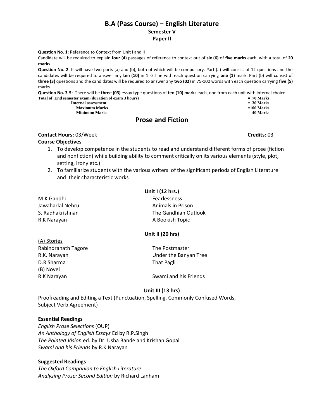#### **B.A (Pass Course) – English Literature Semester V Paper II**

**Question No. 1**: Reference to Context from Unit I and II

Candidate will be required to explain **four (4)** passages of reference to context out of **six (6)** of **five marks** each, with a total of **20 marks**

**Question No. 2**: It will have two parts (a) and (b), both of which will be compulsory. Part (a) will consist of 12 questions and the candidates will be required to answer any **ten (10)** in 1 -2 line with each question carrying **one (1)** mark. Part (b) will consist of **three (3)** questions and the candidates will be required to answer any **two (02)** in 75-100 words with each question carrying **five (5)** marks.

**Question No. 3-5:** There will be **three (03)** essay type questions of **ten (10) marks** each, one from each unit with internal choice. **Total of End semester exam (duration of exam 3 hours) = 70 Marks**

> **Internal assessment = 30 Marks** Maximum Marks **and Marks** and Marks **mathematic increases and Marks** and Marks **mathematic increases and Marks**  $\leq 40$  Marks **Minimum Marks = 40 Marks**

# **Prose and Fiction**

#### **Contact Hours:** 03/Week **Credits:** 03

#### **Course Objectives**

- 1. To develop competence in the students to read and understand different forms of prose (fiction and nonfiction) while building ability to comment critically on its various elements (style, plot, setting, irony etc.)
- 2. To familiarize students with the various writers of the significant periods of English Literature and their characteristic works

| Unit I (12 hrs.) |  |  |
|------------------|--|--|
|------------------|--|--|

| M.K Gandhi       | <b>Fearlessness</b>  |
|------------------|----------------------|
| Jawaharlal Nehru | Animals in Prison    |
| S. Radhakrishnan | The Gandhian Outlook |
| R.K Narayan      | A Bookish Topic      |
|                  |                      |

#### **Unit II (20 hrs)**

| (A) Stories         |                       |
|---------------------|-----------------------|
| Rabindranath Tagore | The Postmaster        |
| R.K. Narayan        | Under the Banyan Tree |
| D.R Sharma          | <b>That Pagli</b>     |
| (B) Novel           |                       |
| R.K Narayan         | Swami and his Friends |

#### **Unit III (13 hrs)**

Proofreading and Editing a Text (Punctuation, Spelling, Commonly Confused Words, Subject Verb Agreement)

#### **Essential Readings**

*English Prose Selections* (OUP) *An Anthology of English Essays* Ed by R.P.Singh *The Pointed Vision* ed. by Dr. Usha Bande and Krishan Gopal *Swami and his Friends* by R.K Narayan

#### **Suggested Readings**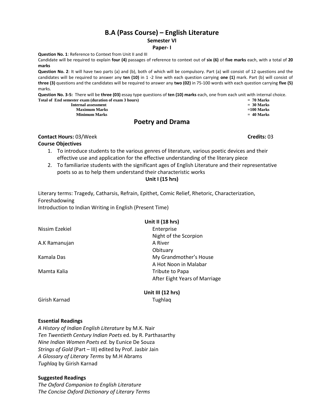#### **Semester VI**

**Paper- I**

**Question No. 1**: Reference to Context from Unit II and III

Candidate will be required to explain **four (4)** passages of reference to context out of **six (6)** of **five marks** each, with a total of **20 marks**

**Question No. 2**: It will have two parts (a) and (b), both of which will be compulsory. Part (a) will consist of 12 questions and the candidates will be required to answer any **ten (10)** in 1 -2 line with each question carrying **one (1)** mark. Part (b) will consist of **three (3)** questions and the candidates will be required to answer any **two (02)** in 75-100 words with each question carrying **five (5)** marks.

**Question No. 3-5:** There will be **three (03)** essay type questions of **ten (10) marks** each, one from each unit with internal choice. **Total of End semester exam (duration of exam 3 hours) = 70 Marks**

> **Internal assessment**  $= 30$  Marks **Maximum Marks =100 Marks Minimum Marks = 40 Marks**

# **Poetry and Drama**

**Contact Hours:** 03/Week **Credits:** 03

**Course Objectives**

- 1. To introduce students to the various genres of literature, various poetic devices and their effective use and application for the effective understanding of the literary piece
- 2. To familiarize students with the significant ages of English Literature and their representative poets so as to help them understand their characteristic works

#### **Unit I (15 hrs)**

**Unit III (12 hrs)**

Literary terms: Tragedy, Catharsis, Refrain, Epithet, Comic Relief, Rhetoric, Characterization, Foreshadowing Introduction to Indian Writing in English (Present Time)

|                | Unit II (18 hrs)              |
|----------------|-------------------------------|
| Nissim Ezekiel | Enterprise                    |
|                | Night of the Scorpion         |
| A.K Ramanujan  | A River                       |
|                | Obituary                      |
| Kamala Das     | My Grandmother's House        |
|                | A Hot Noon in Malabar         |
| Mamta Kalia    | Tribute to Papa               |
|                | After Eight Years of Marriage |
|                |                               |

Girish Karnad Tughlaq

#### **Essential Readings**

*A History of Indian English Literature* by M.K. Nair *Ten Twentieth Century Indian Poets* ed. by R. Parthasarthy *Nine Indian Women Poets ed.* by Eunice De Souza *Strings of Gold* (Part – III) edited by Prof. Jasbir Jain *A Glossary of Literary Terms* by M.H Abrams *Tughlaq* by Girish Karnad

#### **Suggested Readings**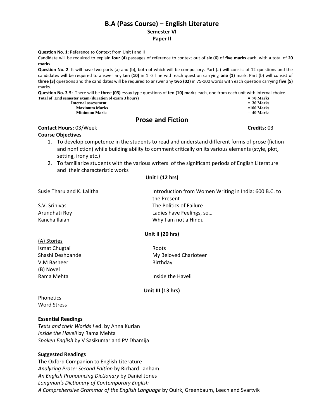#### **B.A (Pass Course) – English Literature Semester VI Paper II**

**Question No. 1**: Reference to Context from Unit I and II

Candidate will be required to explain **four (4)** passages of reference to context out of **six (6)** of **five marks** each, with a total of **20 marks**

**Question No. 2**: It will have two parts (a) and (b), both of which will be compulsory. Part (a) will consist of 12 questions and the candidates will be required to answer any **ten (10)** in 1 -2 line with each question carrying **one (1)** mark. Part (b) will consist of **three (3)** questions and the candidates will be required to answer any **two (02)** in 75-100 words with each question carrying **five (5)** marks.

**Question No. 3-5:** There will be **three (03)** essay type questions of **ten (10) marks** each, one from each unit with internal choice. **Total of End semester exam (duration of exam 3 hours) = 70 Marks**

> **Internal assessment**  $= 30$  Marks<br> **Maximum Marks**  $= 100$  Marks Maximum Marks =100 Marks = 100 Marks = 100 Marks = 100 Marks = 100 Marks = 100 Marks = 100 Marks = 100 Marks = 100 Marks = 100 Marks = 100 Marks = 100 Marks = 100 Marks = 100 Marks = 100 Marks = 100 Marks = 100 Marks = 100 **Minimum Marks = 40 Marks**

### **Prose and Fiction**

**Contact Hours:** 03/Week **Credits:** 03

**Course Objectives**

- 1. To develop competence in the students to read and understand different forms of prose (fiction and nonfiction) while building ability to comment critically on its various elements (style, plot, setting, irony etc.)
- 2. To familiarize students with the various writers of the significant periods of English Literature and their characteristic works

#### **Unit I (12 hrs)**

Susie Tharu and K. Lalitha **Introduction from Women Writing in India: 600 B.C. to** Introduction from Women Writing in India: 600 B.C. to the Present S.V. Srinivas **The Politics of Failure** Arundhati Roy Ladies have Feelings, so… Kancha Ilaiah Why I am not a Hindu

#### **Unit II (20 hrs)**

(A) Stories Ismat Chugtai **Roots** V.M Basheer Birthday (B) Novel Rama Mehta **Inside the Haveli** 

Shashi Deshpande My Beloved Charioteer

#### **Unit III (13 hrs)**

Phonetics Word Stress

#### **Essential Readings**

*Texts and their Worlds I* ed. by Anna Kurian *Inside the Haveli* by Rama Mehta *Spoken English* by V Sasikumar and PV Dhamija

#### **Suggested Readings**

The Oxford Companion to English Literature *Analyzing Prose: Second Edition* by Richard Lanham *An English Pronouncing Dictionary* by Daniel Jones *Longman's Dictionary of Contemporary English A Comprehensive Grammar of the English Language* by Quirk, Greenbaum, Leech and Svartvik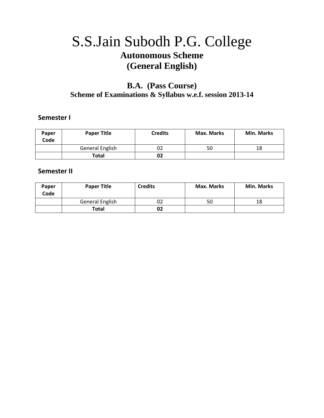# S.S.Jain Subodh P.G. College **Autonomous Scheme (General English)**

# **B.A. (Pass Course) Scheme of Examinations & Syllabus w.e.f. session 2013-14**

### **Semester I**

| Paper<br>Code | <b>Paper Title</b> | <b>Credits</b> | Max. Marks | Min. Marks |
|---------------|--------------------|----------------|------------|------------|
|               | General English    |                | 50         | 18         |
|               | <b>Total</b>       | 02             |            |            |

# **Semester II**

| Paper<br>Code | <b>Paper Title</b> | <b>Credits</b> | Max. Marks | <b>Min. Marks</b> |
|---------------|--------------------|----------------|------------|-------------------|
|               | General English    |                | 50         | 18                |
|               | Total              | 02             |            |                   |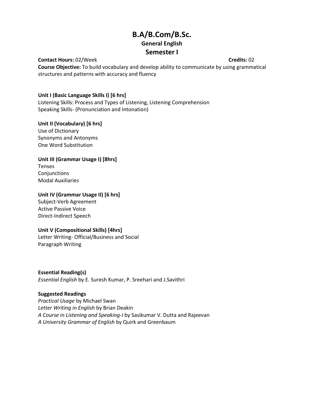# **B.A/B.Com/B.Sc. General English Semester I**

#### **Contact Hours:** 02/Week **Credits:** 02

**Course Objective:** To build vocabulary and develop ability to communicate by using grammatical structures and patterns with accuracy and fluency

#### **Unit I (Basic Language Skills I) [6 hrs]**

Listening Skills: Process and Types of Listening, Listening Comprehension Speaking Skills- (Pronunciation and Intonation)

#### **Unit II (Vocabulary) [6 hrs]**

Use of Dictionary Synonyms and Antonyms One Word Substitution

#### **Unit III (Grammar Usage I) [8hrs]**

Tenses Conjunctions Modal Auxiliaries

#### **Unit IV (Grammar Usage II) [6 hrs]**

Subject-Verb Agreement Active Passive Voice Direct-Indirect Speech

#### **Unit V (Compositional Skills) [4hrs]**

Letter Writing- Official/Business and Social Paragraph Writing

#### **Essential Reading(s)**

*Essential English* by E. Suresh Kumar, P. Sreehari and J.Savithri

#### **Suggested Readings**

*Practical Usage* by Michael Swan *Letter Writing in English* by Brian Deakin *A Course in Listening and Speaking-I* by Sasikumar V. Dutta and Rajeevan *A University Grammar of English* by Quirk and Greenbaum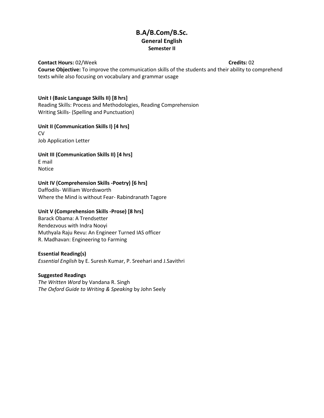# **B.A/B.Com/B.Sc. General English Semester II**

#### **Contact Hours:** 02/Week **Credits:** 02

**Course Objective:** To improve the communication skills of the students and their ability to comprehend texts while also focusing on vocabulary and grammar usage

#### **Unit I (Basic Language Skills II) [8 hrs]**

Reading Skills: Process and Methodologies, Reading Comprehension Writing Skills- (Spelling and Punctuation)

# **Unit II (Communication Skills I) [4 hrs]**

CV Job Application Letter

#### **Unit III (Communication Skills II) [4 hrs]**

E mail Notice

#### **Unit IV (Comprehension Skills -Poetry) [6 hrs]**

Daffodils- William Wordsworth Where the Mind is without Fear- Rabindranath Tagore

#### **Unit V (Comprehension Skills -Prose) [8 hrs]**

Barack Obama: A Trendsetter Rendezvous with Indra Nooyi Muthyala Raju Revu: An Engineer Turned IAS officer R. Madhavan: Engineering to Farming

#### **Essential Reading(s)**

*Essential English* by E. Suresh Kumar, P. Sreehari and J.Savithri

#### **Suggested Readings**

*The Written Word* by Vandana R. Singh *The Oxford Guide to Writing & Speaking* by John Seely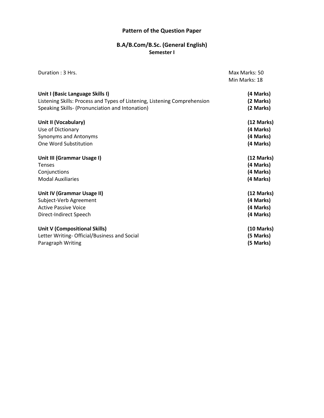# **Pattern of the Question Paper**

# **B.A/B.Com/B.Sc. (General English) Semester I**

| Duration: 3 Hrs.                                                          | Max Marks: 50 |
|---------------------------------------------------------------------------|---------------|
|                                                                           | Min Marks: 18 |
| Unit I (Basic Language Skills I)                                          | (4 Marks)     |
| Listening Skills: Process and Types of Listening, Listening Comprehension | (2 Marks)     |
| Speaking Skills- (Pronunciation and Intonation)                           | (2 Marks)     |
| Unit II (Vocabulary)                                                      | (12 Marks)    |
| Use of Dictionary                                                         | (4 Marks)     |
| <b>Synonyms and Antonyms</b>                                              | (4 Marks)     |
| One Word Substitution                                                     | (4 Marks)     |
| Unit III (Grammar Usage I)                                                | (12 Marks)    |
| <b>Tenses</b>                                                             | (4 Marks)     |
| Conjunctions                                                              | (4 Marks)     |
| <b>Modal Auxiliaries</b>                                                  | (4 Marks)     |
| Unit IV (Grammar Usage II)                                                | (12 Marks)    |
| Subject-Verb Agreement                                                    | (4 Marks)     |
| <b>Active Passive Voice</b>                                               | (4 Marks)     |
| Direct-Indirect Speech                                                    | (4 Marks)     |
| <b>Unit V (Compositional Skills)</b>                                      | (10 Marks)    |
| Letter Writing- Official/Business and Social                              | (5 Marks)     |
| Paragraph Writing                                                         | (5 Marks)     |
|                                                                           |               |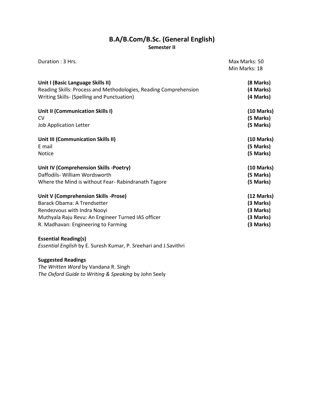# **B.A/B.Com/B.Sc. (General English) Semester II**

| Min Marks: 18                                                                 |  |
|-------------------------------------------------------------------------------|--|
|                                                                               |  |
| Unit I (Basic Language Skills II)<br>(8 Marks)                                |  |
| Reading Skills: Process and Methodologies, Reading Comprehension<br>(4 Marks) |  |
| Writing Skills- (Spelling and Punctuation)<br>(4 Marks)                       |  |
| <b>Unit II (Communication Skills I)</b><br>(10 Marks)                         |  |
| (5 Marks)<br>CV                                                               |  |
| (5 Marks)<br>Job Application Letter                                           |  |
| <b>Unit III (Communication Skills II)</b><br>(10 Marks)                       |  |
| E mail<br>(5 Marks)                                                           |  |
| <b>Notice</b><br>(5 Marks)                                                    |  |
| Unit IV (Comprehension Skills -Poetry)<br>(10 Marks)                          |  |
| Daffodils- William Wordsworth<br>(5 Marks)                                    |  |
| Where the Mind is without Fear-Rabindranath Tagore<br>(5 Marks)               |  |
| Unit V (Comprehension Skills -Prose)<br>(12 Marks)                            |  |
| Barack Obama: A Trendsetter<br>(3 Marks)                                      |  |
| Rendezvous with Indra Nooyi<br>(3 Marks)                                      |  |
| (3 Marks)<br>Muthyala Raju Revu: An Engineer Turned IAS officer               |  |
| (3 Marks)<br>R. Madhavan: Engineering to Farming                              |  |

#### **Essential Reading(s)**

*Essential English* by E. Suresh Kumar, P. Sreehari and J.Savithri

### **Suggested Readings**

*The Written Word* by Vandana R. Singh *The Oxford Guide to Writing & Speaking* by John Seely